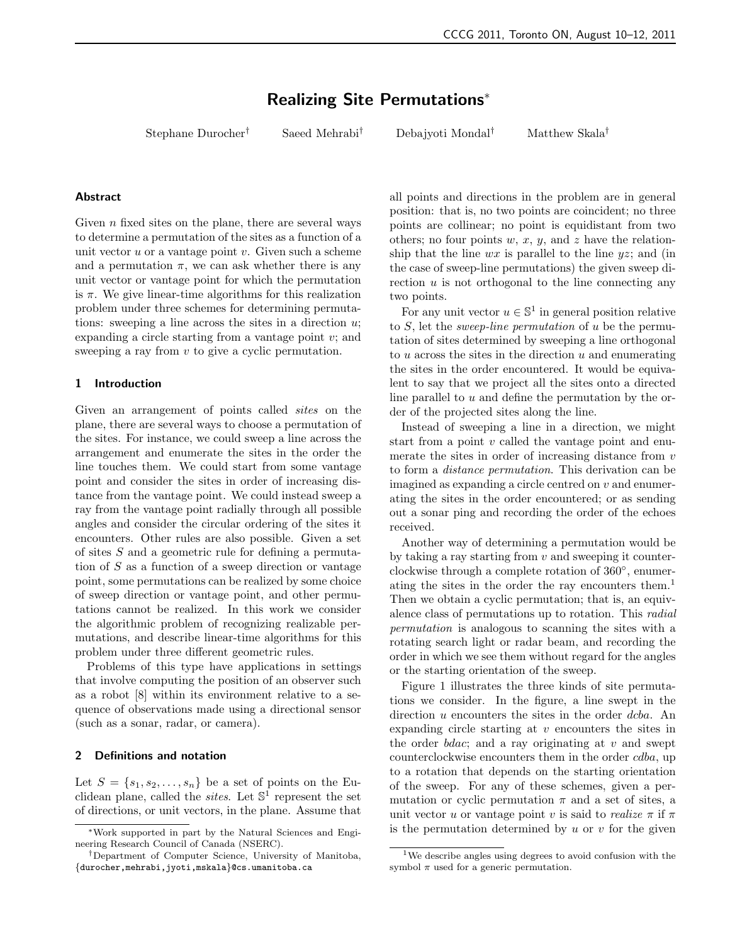# Realizing Site Permutations<sup>∗</sup>

Stephane Durocher† Saeed Mehrabi† Debajyoti Mondal† Matthew Skala†

#### Abstract

Given  $n$  fixed sites on the plane, there are several ways to determine a permutation of the sites as a function of a unit vector  $u$  or a vantage point  $v$ . Given such a scheme and a permutation  $\pi$ , we can ask whether there is any unit vector or vantage point for which the permutation is  $\pi$ . We give linear-time algorithms for this realization problem under three schemes for determining permutations: sweeping a line across the sites in a direction  $u$ ; expanding a circle starting from a vantage point  $v$ ; and sweeping a ray from v to give a cyclic permutation.

## 1 Introduction

Given an arrangement of points called *sites* on the plane, there are several ways to choose a permutation of the sites. For instance, we could sweep a line across the arrangement and enumerate the sites in the order the line touches them. We could start from some vantage point and consider the sites in order of increasing distance from the vantage point. We could instead sweep a ray from the vantage point radially through all possible angles and consider the circular ordering of the sites it encounters. Other rules are also possible. Given a set of sites S and a geometric rule for defining a permutation of  $S$  as a function of a sweep direction or vantage point, some permutations can be realized by some choice of sweep direction or vantage point, and other permutations cannot be realized. In this work we consider the algorithmic problem of recognizing realizable permutations, and describe linear-time algorithms for this problem under three different geometric rules.

Problems of this type have applications in settings that involve computing the position of an observer such as a robot [8] within its environment relative to a sequence of observations made using a directional sensor (such as a sonar, radar, or camera).

### 2 Definitions and notation

Let  $S = \{s_1, s_2, \ldots, s_n\}$  be a set of points on the Euclidean plane, called the *sites*. Let  $\mathbb{S}^1$  represent the set of directions, or unit vectors, in the plane. Assume that all points and directions in the problem are in general position: that is, no two points are coincident; no three points are collinear; no point is equidistant from two others; no four points  $w, x, y$ , and z have the relationship that the line  $wx$  is parallel to the line  $yz$ ; and (in the case of sweep-line permutations) the given sweep direction  $u$  is not orthogonal to the line connecting any two points.

For any unit vector  $u \in \mathbb{S}^1$  in general position relative to  $S$ , let the *sweep-line permutation* of  $u$  be the permutation of sites determined by sweeping a line orthogonal to  $u$  across the sites in the direction  $u$  and enumerating the sites in the order encountered. It would be equivalent to say that we project all the sites onto a directed line parallel to u and define the permutation by the order of the projected sites along the line.

Instead of sweeping a line in a direction, we might start from a point  $v$  called the vantage point and enumerate the sites in order of increasing distance from  $v$ to form a distance permutation. This derivation can be imagined as expanding a circle centred on  $v$  and enumerating the sites in the order encountered; or as sending out a sonar ping and recording the order of the echoes received.

Another way of determining a permutation would be by taking a ray starting from  $v$  and sweeping it counterclockwise through a complete rotation of 360◦ , enumerating the sites in the order the ray encounters them.<sup>1</sup> Then we obtain a cyclic permutation; that is, an equivalence class of permutations up to rotation. This radial permutation is analogous to scanning the sites with a rotating search light or radar beam, and recording the order in which we see them without regard for the angles or the starting orientation of the sweep.

Figure 1 illustrates the three kinds of site permutations we consider. In the figure, a line swept in the direction u encounters the sites in the order dcba. An expanding circle starting at v encounters the sites in the order  $bdac$ ; and a ray originating at v and swept counterclockwise encounters them in the order cdba, up to a rotation that depends on the starting orientation of the sweep. For any of these schemes, given a permutation or cyclic permutation  $\pi$  and a set of sites, a unit vector u or vantage point v is said to realize  $\pi$  if  $\pi$ is the permutation determined by  $u$  or  $v$  for the given

<sup>∗</sup>Work supported in part by the Natural Sciences and Engineering Research Council of Canada (NSERC).

<sup>†</sup>Department of Computer Science, University of Manitoba, {durocher,mehrabi,jyoti,mskala}@cs.umanitoba.ca

<sup>1</sup>We describe angles using degrees to avoid confusion with the symbol  $\pi$  used for a generic permutation.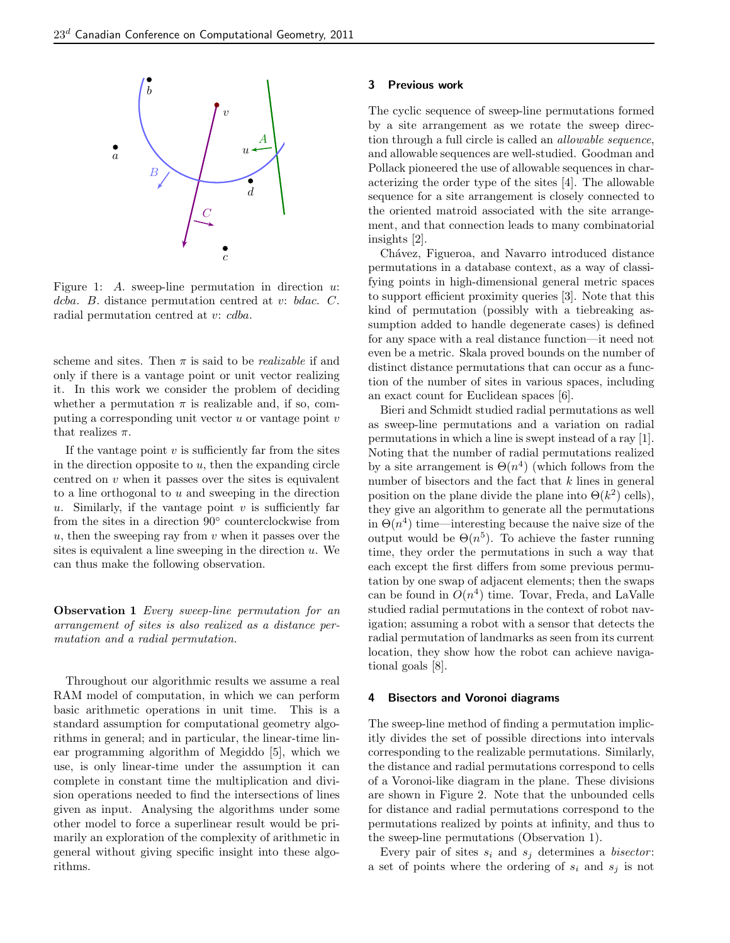

Figure 1: A. sweep-line permutation in direction  $u$ . dcba. B. distance permutation centred at v: bdac. C. radial permutation centred at v: cdba.

scheme and sites. Then  $\pi$  is said to be *realizable* if and only if there is a vantage point or unit vector realizing it. In this work we consider the problem of deciding whether a permutation  $\pi$  is realizable and, if so, computing a corresponding unit vector  $u$  or vantage point  $v$ that realizes  $\pi$ .

If the vantage point  $v$  is sufficiently far from the sites in the direction opposite to  $u$ , then the expanding circle centred on  $v$  when it passes over the sites is equivalent to a line orthogonal to u and sweeping in the direction u. Similarly, if the vantage point  $v$  is sufficiently far from the sites in a direction 90◦ counterclockwise from  $u$ , then the sweeping ray from  $v$  when it passes over the sites is equivalent a line sweeping in the direction  $u$ . We can thus make the following observation.

Observation 1 Every sweep-line permutation for an arrangement of sites is also realized as a distance permutation and a radial permutation.

Throughout our algorithmic results we assume a real RAM model of computation, in which we can perform basic arithmetic operations in unit time. This is a standard assumption for computational geometry algorithms in general; and in particular, the linear-time linear programming algorithm of Megiddo [5], which we use, is only linear-time under the assumption it can complete in constant time the multiplication and division operations needed to find the intersections of lines given as input. Analysing the algorithms under some other model to force a superlinear result would be primarily an exploration of the complexity of arithmetic in general without giving specific insight into these algorithms.

## 3 Previous work

The cyclic sequence of sweep-line permutations formed by a site arrangement as we rotate the sweep direction through a full circle is called an allowable sequence, and allowable sequences are well-studied. Goodman and Pollack pioneered the use of allowable sequences in characterizing the order type of the sites [4]. The allowable sequence for a site arrangement is closely connected to the oriented matroid associated with the site arrangement, and that connection leads to many combinatorial insights [2].

Chávez, Figueroa, and Navarro introduced distance permutations in a database context, as a way of classifying points in high-dimensional general metric spaces to support efficient proximity queries [3]. Note that this kind of permutation (possibly with a tiebreaking assumption added to handle degenerate cases) is defined for any space with a real distance function—it need not even be a metric. Skala proved bounds on the number of distinct distance permutations that can occur as a function of the number of sites in various spaces, including an exact count for Euclidean spaces [6].

Bieri and Schmidt studied radial permutations as well as sweep-line permutations and a variation on radial permutations in which a line is swept instead of a ray [1]. Noting that the number of radial permutations realized by a site arrangement is  $\Theta(n^4)$  (which follows from the number of bisectors and the fact that k lines in general position on the plane divide the plane into  $\Theta(k^2)$  cells), they give an algorithm to generate all the permutations in  $\Theta(n^4)$  time—interesting because the naive size of the output would be  $\Theta(n^5)$ . To achieve the faster running time, they order the permutations in such a way that each except the first differs from some previous permutation by one swap of adjacent elements; then the swaps can be found in  $O(n^4)$  time. Tovar, Freda, and LaValle studied radial permutations in the context of robot navigation; assuming a robot with a sensor that detects the radial permutation of landmarks as seen from its current location, they show how the robot can achieve navigational goals [8].

### 4 Bisectors and Voronoi diagrams

The sweep-line method of finding a permutation implicitly divides the set of possible directions into intervals corresponding to the realizable permutations. Similarly, the distance and radial permutations correspond to cells of a Voronoi-like diagram in the plane. These divisions are shown in Figure 2. Note that the unbounded cells for distance and radial permutations correspond to the permutations realized by points at infinity, and thus to the sweep-line permutations (Observation 1).

Every pair of sites  $s_i$  and  $s_j$  determines a *bisector*: a set of points where the ordering of  $s_i$  and  $s_j$  is not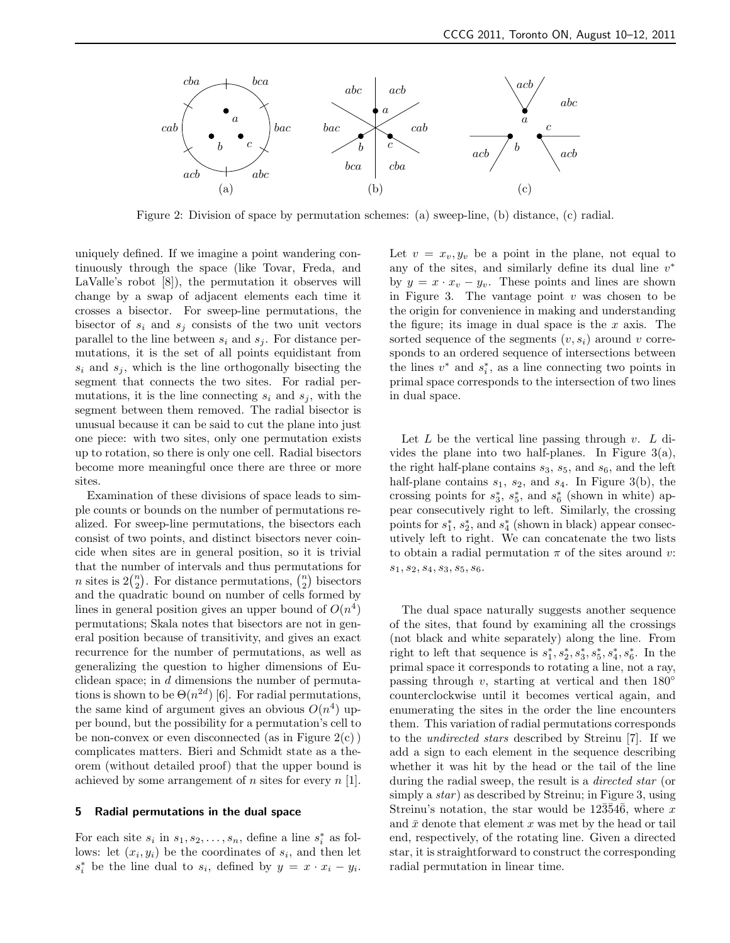

Figure 2: Division of space by permutation schemes: (a) sweep-line, (b) distance, (c) radial.

uniquely defined. If we imagine a point wandering continuously through the space (like Tovar, Freda, and LaValle's robot [8]), the permutation it observes will change by a swap of adjacent elements each time it crosses a bisector. For sweep-line permutations, the bisector of  $s_i$  and  $s_j$  consists of the two unit vectors parallel to the line between  $s_i$  and  $s_j$ . For distance permutations, it is the set of all points equidistant from  $s_i$  and  $s_j$ , which is the line orthogonally bisecting the segment that connects the two sites. For radial permutations, it is the line connecting  $s_i$  and  $s_j$ , with the segment between them removed. The radial bisector is unusual because it can be said to cut the plane into just one piece: with two sites, only one permutation exists up to rotation, so there is only one cell. Radial bisectors become more meaningful once there are three or more sites.

Examination of these divisions of space leads to simple counts or bounds on the number of permutations realized. For sweep-line permutations, the bisectors each consist of two points, and distinct bisectors never coincide when sites are in general position, so it is trivial that the number of intervals and thus permutations for *n* sites is  $2\binom{n}{2}$ . For distance permutations,  $\binom{n}{2}$  bisectors and the quadratic bound on number of cells formed by lines in general position gives an upper bound of  $O(n^4)$ permutations; Skala notes that bisectors are not in general position because of transitivity, and gives an exact recurrence for the number of permutations, as well as generalizing the question to higher dimensions of Euclidean space; in  $d$  dimensions the number of permutations is shown to be  $\Theta(n^{2d})$  [6]. For radial permutations, the same kind of argument gives an obvious  $O(n^4)$  upper bound, but the possibility for a permutation's cell to be non-convex or even disconnected (as in Figure  $2(c)$ ) complicates matters. Bieri and Schmidt state as a theorem (without detailed proof) that the upper bound is achieved by some arrangement of  $n$  sites for every  $n \lfloor 1 \rfloor$ .

#### 5 Radial permutations in the dual space

For each site  $s_i$  in  $s_1, s_2, \ldots, s_n$ , define a line  $s_i^*$  as follows: let  $(x_i, y_i)$  be the coordinates of  $s_i$ , and then let  $s_i^*$  be the line dual to  $s_i$ , defined by  $y = x \cdot x_i - y_i$ . Let  $v = x_v, y_v$  be a point in the plane, not equal to any of the sites, and similarly define its dual line  $v^*$ by  $y = x \cdot x_v - y_v$ . These points and lines are shown in Figure 3. The vantage point  $v$  was chosen to be the origin for convenience in making and understanding the figure; its image in dual space is the  $x$  axis. The sorted sequence of the segments  $(v, s_i)$  around v corresponds to an ordered sequence of intersections between the lines  $v^*$  and  $s_i^*$ , as a line connecting two points in primal space corresponds to the intersection of two lines in dual space.

Let  $L$  be the vertical line passing through  $v$ .  $L$  divides the plane into two half-planes. In Figure  $3(a)$ , the right half-plane contains  $s_3$ ,  $s_5$ , and  $s_6$ , and the left half-plane contains  $s_1$ ,  $s_2$ , and  $s_4$ . In Figure 3(b), the crossing points for  $s_3^*$ ,  $s_5^*$ , and  $s_6^*$  (shown in white) appear consecutively right to left. Similarly, the crossing points for  $s_1^*$ ,  $s_2^*$ , and  $s_4^*$  (shown in black) appear consecutively left to right. We can concatenate the two lists to obtain a radial permutation  $\pi$  of the sites around v:  $s_1, s_2, s_4, s_3, s_5, s_6.$ 

The dual space naturally suggests another sequence of the sites, that found by examining all the crossings (not black and white separately) along the line. From right to left that sequence is  $s_1^*, s_2^*, s_3^*, s_5^*, s_4^*, s_6^*$ . In the primal space it corresponds to rotating a line, not a ray, passing through v, starting at vertical and then  $180°$ counterclockwise until it becomes vertical again, and enumerating the sites in the order the line encounters them. This variation of radial permutations corresponds to the undirected stars described by Streinu [7]. If we add a sign to each element in the sequence describing whether it was hit by the head or the tail of the line during the radial sweep, the result is a directed star (or simply a  $star$ ) as described by Streinu; in Figure 3, using Streinu's notation, the star would be  $12\overline{35}4\overline{6}$ , where x and  $\bar{x}$  denote that element x was met by the head or tail end, respectively, of the rotating line. Given a directed star, it is straightforward to construct the corresponding radial permutation in linear time.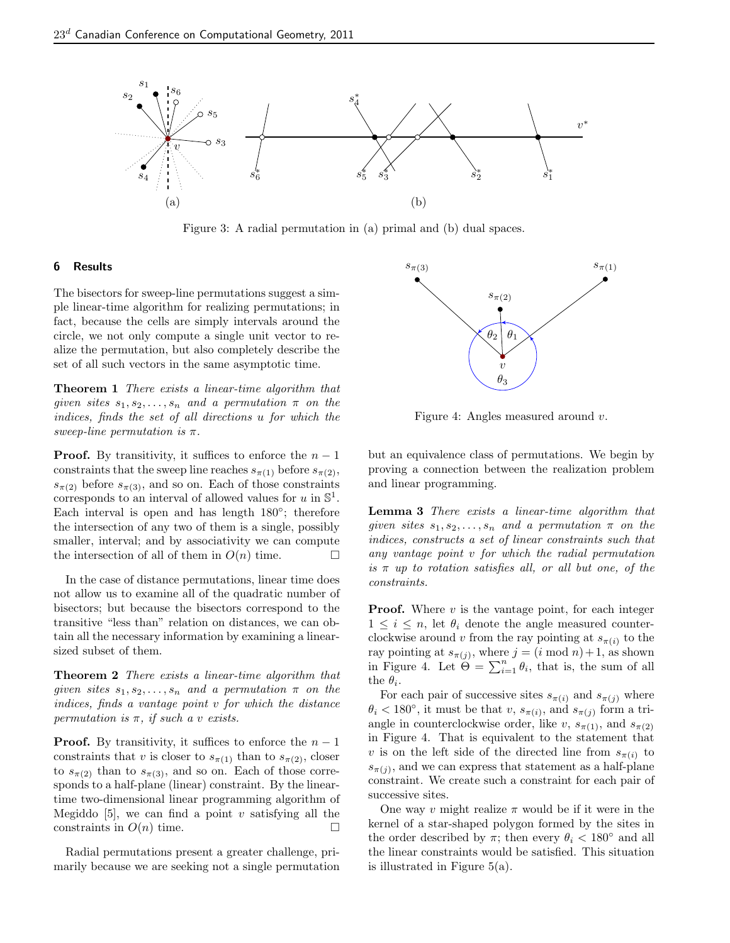

Figure 3: A radial permutation in (a) primal and (b) dual spaces.

#### 6 Results

The bisectors for sweep-line permutations suggest a simple linear-time algorithm for realizing permutations; in fact, because the cells are simply intervals around the circle, we not only compute a single unit vector to realize the permutation, but also completely describe the set of all such vectors in the same asymptotic time.

**Theorem 1** There exists a linear-time algorithm that given sites  $s_1, s_2, \ldots, s_n$  and a permutation  $\pi$  on the indices, finds the set of all directions u for which the sweep-line permutation is  $\pi$ .

**Proof.** By transitivity, it suffices to enforce the  $n-1$ constraints that the sweep line reaches  $s_{\pi(1)}$  before  $s_{\pi(2)}$ ,  $s_{\pi(2)}$  before  $s_{\pi(3)}$ , and so on. Each of those constraints corresponds to an interval of allowed values for u in  $\mathbb{S}^1$ . Each interval is open and has length  $180^\circ$ ; therefore the intersection of any two of them is a single, possibly smaller, interval; and by associativity we can compute the intersection of all of them in  $O(n)$  time.  $\Box$ 

In the case of distance permutations, linear time does not allow us to examine all of the quadratic number of bisectors; but because the bisectors correspond to the transitive "less than" relation on distances, we can obtain all the necessary information by examining a linearsized subset of them.

**Theorem 2** There exists a linear-time algorithm that given sites  $s_1, s_2, \ldots, s_n$  and a permutation  $\pi$  on the indices, finds a vantage point v for which the distance permutation is  $\pi$ , if such a v exists.

**Proof.** By transitivity, it suffices to enforce the  $n-1$ constraints that v is closer to  $s_{\pi(1)}$  than to  $s_{\pi(2)}$ , closer to  $s_{\pi(2)}$  than to  $s_{\pi(3)}$ , and so on. Each of those corresponds to a half-plane (linear) constraint. By the lineartime two-dimensional linear programming algorithm of Megiddo [5], we can find a point v satisfying all the constraints in  $O(n)$  time.

Radial permutations present a greater challenge, primarily because we are seeking not a single permutation



Figure 4: Angles measured around v.

but an equivalence class of permutations. We begin by proving a connection between the realization problem and linear programming.

Lemma 3 There exists a linear-time algorithm that given sites  $s_1, s_2, \ldots, s_n$  and a permutation  $\pi$  on the indices, constructs a set of linear constraints such that any vantage point v for which the radial permutation is  $\pi$  up to rotation satisfies all, or all but one, of the constraints.

**Proof.** Where  $v$  is the vantage point, for each integer  $1 \leq i \leq n$ , let  $\theta_i$  denote the angle measured counterclockwise around v from the ray pointing at  $s_{\pi(i)}$  to the ray pointing at  $s_{\pi(j)}$ , where  $j = (i \mod n) + 1$ , as shown in Figure 4. Let  $\Theta = \sum_{i=1}^{n} \theta_i$ , that is, the sum of all the  $\theta_i$ .

For each pair of successive sites  $s_{\pi(i)}$  and  $s_{\pi(j)}$  where  $\theta_i < 180^\circ$ , it must be that v,  $s_{\pi(i)}$ , and  $s_{\pi(j)}$  form a triangle in counterclockwise order, like v,  $s_{\pi(1)}$ , and  $s_{\pi(2)}$ in Figure 4. That is equivalent to the statement that v is on the left side of the directed line from  $s_{\pi(i)}$  to  $s_{\pi(j)}$ , and we can express that statement as a half-plane constraint. We create such a constraint for each pair of successive sites.

One way v might realize  $\pi$  would be if it were in the kernel of a star-shaped polygon formed by the sites in the order described by  $\pi$ ; then every  $\theta_i < 180^\circ$  and all the linear constraints would be satisfied. This situation is illustrated in Figure 5(a).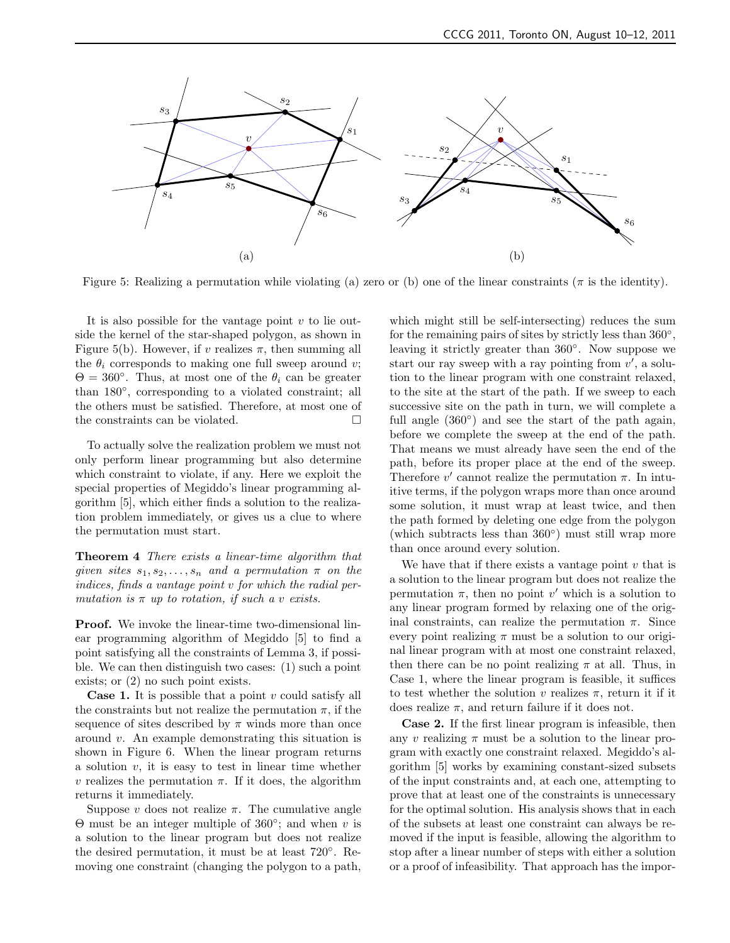

Figure 5: Realizing a permutation while violating (a) zero or (b) one of the linear constraints ( $\pi$  is the identity).

It is also possible for the vantage point  $v$  to lie outside the kernel of the star-shaped polygon, as shown in Figure 5(b). However, if v realizes  $\pi$ , then summing all the  $\theta_i$  corresponds to making one full sweep around v;  $\Theta = 360^{\circ}$ . Thus, at most one of the  $\theta_i$  can be greater than 180◦ , corresponding to a violated constraint; all the others must be satisfied. Therefore, at most one of the constraints can be violated.

To actually solve the realization problem we must not only perform linear programming but also determine which constraint to violate, if any. Here we exploit the special properties of Megiddo's linear programming algorithm [5], which either finds a solution to the realization problem immediately, or gives us a clue to where the permutation must start.

Theorem 4 There exists a linear-time algorithm that given sites  $s_1, s_2, \ldots, s_n$  and a permutation  $\pi$  on the indices, finds a vantage point v for which the radial permutation is  $\pi$  up to rotation, if such a v exists.

**Proof.** We invoke the linear-time two-dimensional linear programming algorithm of Megiddo [5] to find a point satisfying all the constraints of Lemma 3, if possible. We can then distinguish two cases: (1) such a point exists; or (2) no such point exists.

**Case 1.** It is possible that a point  $v$  could satisfy all the constraints but not realize the permutation  $\pi$ , if the sequence of sites described by  $\pi$  winds more than once around v. An example demonstrating this situation is shown in Figure 6. When the linear program returns a solution  $v$ , it is easy to test in linear time whether v realizes the permutation π. If it does, the algorithm returns it immediately.

Suppose v does not realize  $\pi$ . The cumulative angle  $\Theta$  must be an integer multiple of 360°; and when v is a solution to the linear program but does not realize the desired permutation, it must be at least 720◦ . Removing one constraint (changing the polygon to a path, which might still be self-intersecting) reduces the sum for the remaining pairs of sites by strictly less than 360<sup>°</sup>, leaving it strictly greater than 360◦ . Now suppose we start our ray sweep with a ray pointing from  $v'$ , a solution to the linear program with one constraint relaxed, to the site at the start of the path. If we sweep to each successive site on the path in turn, we will complete a full angle  $(360°)$  and see the start of the path again, before we complete the sweep at the end of the path. That means we must already have seen the end of the path, before its proper place at the end of the sweep. Therefore  $v'$  cannot realize the permutation  $\pi$ . In intuitive terms, if the polygon wraps more than once around some solution, it must wrap at least twice, and then the path formed by deleting one edge from the polygon (which subtracts less than 360◦ ) must still wrap more than once around every solution.

We have that if there exists a vantage point  $v$  that is a solution to the linear program but does not realize the permutation  $\pi$ , then no point v' which is a solution to any linear program formed by relaxing one of the original constraints, can realize the permutation  $\pi$ . Since every point realizing  $\pi$  must be a solution to our original linear program with at most one constraint relaxed, then there can be no point realizing  $\pi$  at all. Thus, in Case 1, where the linear program is feasible, it suffices to test whether the solution v realizes  $\pi$ , return it if it does realize  $\pi$ , and return failure if it does not.

Case 2. If the first linear program is infeasible, then any v realizing  $\pi$  must be a solution to the linear program with exactly one constraint relaxed. Megiddo's algorithm [5] works by examining constant-sized subsets of the input constraints and, at each one, attempting to prove that at least one of the constraints is unnecessary for the optimal solution. His analysis shows that in each of the subsets at least one constraint can always be removed if the input is feasible, allowing the algorithm to stop after a linear number of steps with either a solution or a proof of infeasibility. That approach has the impor-